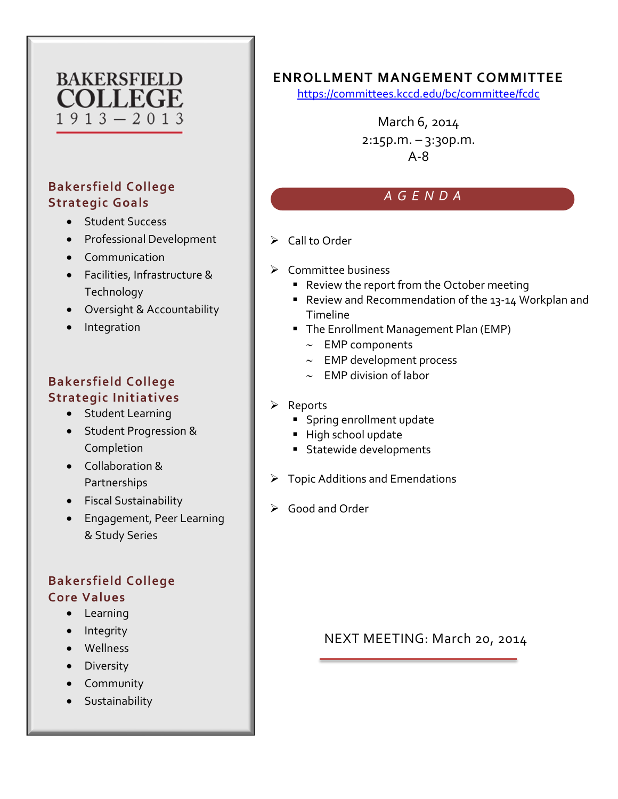# **COLLEGE**  $1913 - 2013$

## **Bakersfield College Strategic Goals**

- Student Success
- Professional Development
- Communication
- Facilities, Infrastructure & Technology
- Oversight & Accountability
- Integration

## **Bakersfield College Strategic Initiatives**

- Student Learning
- Student Progression & Completion
- Collaboration & Partnerships
- Fiscal Sustainability
- Engagement, Peer Learning & Study Series

## **Bakersfield College Core Values**

- Learning
- Integrity
- Wellness
- Diversity
- Community
- Sustainability

## BAKERSFIELD **IF ENROLLMENT MANGEMENT COMMITTEE**

<https://committees.kccd.edu/bc/committee/fcdc>

March 6, 2014  $2:15p.m. - 3:30p.m.$ A-8

# *AGENDA*

- $\triangleright$  Call to Order
- $\triangleright$  Committee business
	- Review the report from the October meeting
	- Review and Recommendation of the 13-14 Workplan and Timeline
	- **The Enrollment Management Plan (EMP)** 
		- ∼ EMP components
		- ∼ EMP development process
		- ∼ EMP division of labor
- **≻** Reports
	- **Spring enrollment update**
	- High school update
	- **Statewide developments**
- $\triangleright$  Topic Additions and Emendations
- Good and Order

NEXT MEETING: March 20, 2014